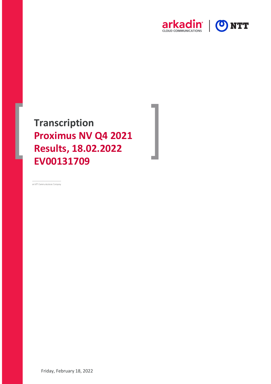

**Transcription Proximus NV Q4 2021 Results, 18.02.2022 EV00131709**

an NTT Communications Company

Friday, February 18, 2022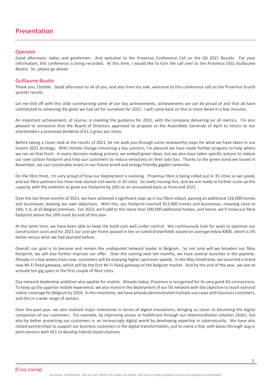## **Operator**

Good afternoon, ladies and gentlemen. And welcome to the Proximus Conference Call on the Q4 2021 Results. For your information, this conference is being recorded. At this time, I would like to turn the call over to the Proximus CEO, Guillaume Boutin. Sir, please go ahead.

#### Guillaume Boutin

Thank you, Clotilde. Good afternoon to all of you, and also from my side, welcome to this conference call on the Proximus fourth quarter results.

Let me kick off with this slide summarising some of our key achievements, achievements we can be proud of and that all have contributed to achieving the goals we had set for ourselves for 2021. I will come back on this in more detail in a few minutes.

An important achievement, of course, is meeting the guidance for 2021, with the company delivering on all metrics. I'm also pleased to announce that the Board of Directors approved to propose to the Assemblée Générale of April to return to our shareholders a promised dividend of €1.2 gross per share.

Before taking a closer look at the results of 2021, let me walk you through some noteworthy steps for what we have taken in our Inspire 2022 Strategy. With climate change remaining a key concern, I'm pleased we have made further progress to help where we can on that front. In every decision-making process, we embed green ideas, but we also have taken specific actions to reduce our own carbon footprint and help our customers to reduce emissions on their side too. Thanks to the green bond we issued in November, we can sustainably invest in our future-proof and energy-friendly gigabit networks.

On the fibre front, I'm very proud of how our deployment is evolving. Proximus fibre is being rolled out in 35 cities as we speak, and our fibre partners too have now started civil works in 10 cities. So really moving fast, and we are ready to further scale up this capacity with the ambition to grow our footprint by 10% on an annualised basis as from end 2022.

Over the last three months of 2021, we have achieved a significant step-up in our fibre rollout, passing an additional 126,000 homes and businesses, beating our own objectives. With this, our footprint reached 813,000 homes and businesses, meaning close to 14%, 1-4, of all Belgian premises. For 2022, we'll add to this more than 500,000 additional homes, and hence, we'll move our fibre footprint above the 20% mark by end of this year.

At the same time, we have been able to keep the build cost well under control. We continuously look for ways to optimise our construction costs and for 2021 our cost per home passed in the so-called brownfields stayed on average below €800, which is 5% better versus what we had planned before.

Overall, our goal is to become and remain the undisputed network leader in Belgium. So not only will we broaden our fibre footprint, we will also further improve our offer. Over the coming next ten months, we have several launches in the pipeline. Already in a few weeks from now, customers will be enjoying higher upstream speeds. In the May timeframe, we launched a brand new Wi-Fi fixed gateway, which will be the first Wi-Fi fixed gateway of the Belgium market. And by the end of the year, we aim to activate ten gig specs in the first couple of fibre cities.

Our network leadership ambition also applies for mobile. Already today, Proximus is recognised for its very good 4G connections. To keep up the superior mobile experience, we also invest in the deployment of our 5G network with the objective to reach national indoor coverage for Belgium by 2024. In the meantime, we have already demonstrated multiple use cases with business customers, and this in a wide range of sectors.

Over the past year, we also realised major milestones in terms of digital innovations, bringing us closer to becoming the digital companion of our customers. For example, by improving access to healthcare through our teleconsultation solution, Doktr, but also by better protecting our customers in an increasingly digital world by developing expertise in cybersecurity. We have also closed partnerships to support our business customers in the digital transformation, just to name a few, with basics through aug-e, joint-venture with HCL to develop hybrid cloud solutions.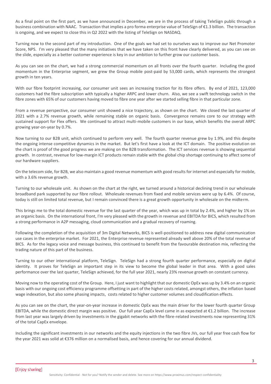As a final point on the first part, as we have announced in December, we are in the process of taking TeleSign public through a business combination with NAAC. Transaction that implies a pro forma enterprise value of TeleSign of €1.3 billion. The transaction is ongoing, and we expect to close this in Q2 2022 with the listing of TeleSign on NASDAQ.

Turning now to the second part of my introduction. One of the goals we had set to ourselves was to improve our Net Promoter Score, NPS. I'm very pleased that the many initiatives that we have taken on this front have clearly delivered, as you can see on the slide, especially as a better customer experience is key in our ambition to further grow our customer basis.

As you can see on the chart, we had a strong commercial momentum on all fronts over the fourth quarter. Including the good momentum in the Enterprise segment, we grew the Group mobile post-paid by 53,000 cards, which represents the strongest growth in ten years.

With our fibre footprint increasing, our consumer unit sees an increasing traction for its fibre offers. By end of 2021, 123,000 customers had the fibre subscription with typically a higher ARPC and lower churn. Also, we see a swift technology switch in the fibre zones with 65% of our customers having moved to fibre one year after we started selling fibre in that particular zone.

From a revenue perspective, our consumer unit showed a nice trajectory, as shown on the chart. We closed the last quarter of 2021 with a 2.7% revenue growth, while remaining stable on organic basis. Convergence remains core to our strategy with sustained support for Flex offers. We continued to attract multi-mobile customers in our base, which benefits the overall ARPC growing year-on-year by 0.7%.

Now turning to our B2B unit, which continued to perform very well. The fourth quarter revenue grew by 1.9%, and this despite the ongoing intense competitive dynamics in the market. But let's first have a look at the ICT domain. The positive evolution on the chart is proof of the good progress we are making on the B2B transformation. The ICT services revenue is showing sequential growth. In contrast, revenue for low-margin ICT products remain stable with the global chip shortage continuing to affect some of our hardware suppliers.

On the telecom side, for B2B, we also maintain a good revenue momentum with good results for internet and especially for mobile, with a 3.6% revenue growth.

Turning to our wholesale unit. As shown on the chart at the right, we turned around a historical declining trend in our wholesale broadband park supported by our fibre rollout. Wholesale revenues from fixed and mobile services were up by 6.4%. Of course, today is still on limited total revenue, but I remain convinced there is a great growth opportunity in wholesale on the midterm.

This brings me to the total domestic revenue for the last quarter of the year, which was up in total by 2.4%, and higher by 1% on an organic basis. On the international front, I'm very pleased with the growth in revenue and EBITDA for BICS, which resulted from a strong performance in A2P messaging, cloud communication and a gradual recovery of roaming.

Following the completion of the acquisition of 3m Digital Networks, BICS is well-positioned to address new digital communication use cases in the enterprise market. For 2021, the Enterprise revenue represented already well above 20% of the total revenue of BICS. As for the legacy voice and message business, this continued to benefit from the favourable destination mix, reflecting the trading nature of this part of the business.

Turning to our other international platform, TeleSign. TeleSign had a strong fourth quarter performance, especially on digital identity. It proves for TeleSign an important step in its view to become the global leader in that area. With a good sales performance over the last quarter, TeleSign achieved, for the full year 2021, nearly 23% revenue growth on constant currency.

Moving now to the operating cost of the Group. Here, I just want to highlight that our domestic OpEx was up by 3.4% on an organic basis with our ongoing cost efficiency programme offsetting in part of the higher costs related, amongst others, the inflation based wage indexation, but also some phasing impacts, costs related to higher customer volumes and cloudification effects.

As you can see on the chart, the year-on-year increase in domestic OpEx was the main driver for the lower fourth quarter Group EBITDA, while the domestic direct margin was positive. Our full year CapEx level came in as expected at €1.2 billion. The increase from last year was largely driven by investments in the gigabit networks with the fibre-related investments now representing 31% of the total CapEx envelope.

Including the significant investments in our networks and the equity injections in the two fibre JVs, our full year free cash flow for the year 2021 was solid at €376 million on a normalised basis, and hence covering for our annual dividend.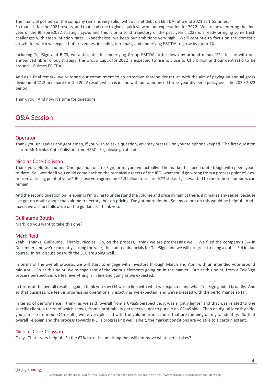The financial position of the company remains very solid, with our net debt on EBITDA ratio end 2021 at 1.55 times. So that is it for the 2021 results, and that leads me to give a quick view on our expectation for 2022. We are now entering the final year of the #Inspire2022 strategic cycle, and this is on a solid trajectory of the past year. 2022 is already bringing some fresh challenges with steep inflation rates. Nonetheless, we keep our ambitions very high. We'll continue to focus on the domestic growth for which we expect both revenues, including terminals, and underlying EBITDA to grow by up to 1%.

Including TeleSign and BICS, we anticipate the underlying Group EBITDA to be down by around minus 1%. In line with our announced fibre rollout strategy, the Group CapEx for 2022 is expected to rise to close to €1.3 billion and our debt ratio to be around 1.6 times EBITDA.

And as a final remark, we reiterate our commitment to an attractive shareholder return with the aim of paying an annual gross dividend of €1.2 per share for the 2022 result, which is in line with our announced three-year dividend policy over the 2020-2022 period.

Thank you. And now it's time for questions.

# Q&A Session

#### **Operator**

Thank you sir. Ladies and gentlemen, if you wish to ask a question, you may press 01 on your telephone keypad. The first question is from Mr Nicolas Cote-Colisson from HSBC. Sir, please go ahead.

#### Nicolas Cote-Colisson

Thank you. Hi, Guillaume. One question on TeleSign, or maybe two actually. The market has been quite tough with peers yearto-date. So I wonder if you could come back on the technical aspects of the IPO, what could go wrong from a process point of view or from a pricing point of view? Because you agreed on €1.3 billion to secure 67% stake. I just wanted to check these numbers can remain.

And the second question on TeleSign is I'm trying to understand the volume and price dynamics there, if it makes any sense, because I've got no doubt about the volume trajectory, but on pricing, I've got more doubt. So any colour on this would be helpful. And I may have a short follow-up on the guidance. Thank you.

#### Guillaume Boutin

Mark, do you want to take this one?

#### Mark Reid

Yeah. Thanks, Guillaume. Thanks, Nicolas. So, on the process, I think we are progressing well. We filed the company's S-4 in December, and we're currently closing the year, the audited financials for TeleSign, and we will progress to filing a public S-4 in due course. Initial discussions with the SEC are going well.

In terms of the overall process, we will start to engage with investors through March and April with an intended vote around mid-April. So at this point, we're cognisant of the various elements going on in the market. But at this point, from a TeleSign process perspective, we feel everything is in line and going as we expected.

In terms of the overall results, again, I think you saw Q4 was in line with what we expected and what TeleSign guided broadly. And so that business, we feel, is progressing operationally exactly as we expected, and we're pleased with the performance so far.

In terms of performance, I think, as we said, overall from a CPaaS perspective, it was slightly lighter and that was related to one specific client in terms of which shows, from a profitability perspective, not to pursue on CPaaS side. Then on digital identity side, you can see from our Q4 results, we're very pleased with the volume transactions that are ramping on digital identity. So that overall TeleSign and the process towards IPO is progressing well, albeit, the market conditions are volatile to a certain extent.

## Nicolas Cote-Colisson

Okay. That's very helpful. So the 67% stake is something that will not move whatever it takes?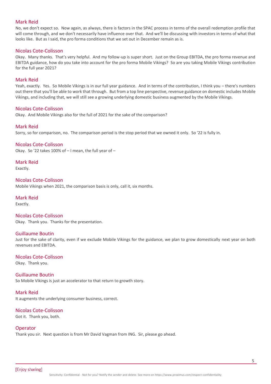#### Mark Reid

No, we don't expect so. Now again, as always, there is factors in the SPAC process in terms of the overall redemption profile that will come through, and we don't necessarily have influence over that. And we'll be discussing with investors in terms of what that looks like. But as I said, the pro forma conditions that we set out in December remain as is.

#### Nicolas Cote-Colisson

Okay. Many thanks. That's very helpful. And my follow-up is super short. Just on the Group EBITDA, the pro forma revenue and EBITDA guidance, how do you take into account for the pro forma Mobile Vikings? So are you taking Mobile Vikings contribution for the full year 2021?

#### Mark Reid

Yeah, exactly. Yes. So Mobile Vikings is in our full year guidance. And in terms of the contribution, I think you – there's numbers out there that you'll be able to work that through. But from a top line perspective, revenue guidance on domestic includes Mobile Vikings, and including that, we will still see a growing underlying domestic business augmented by the Mobile Vikings.

#### Nicolas Cote-Colisson

Okay. And Mobile Vikings also for the full of 2021 for the sake of the comparison?

#### Mark Reid

Sorry, so for comparison, no. The comparison period is the stop period that we owned it only. So '22 is fully in.

#### Nicolas Cote-Colisson

Okay. So '22 takes 100% of – I mean, the full year of –

Mark Reid Exactly.

Nicolas Cote-Colisson Mobile Vikings when 2021, the comparison basis is only, call it, six months.

#### Mark Reid

Exactly.

Nicolas Cote-Colisson Okay. Thank you. Thanks for the presentation.

#### Guillaume Boutin

Just for the sake of clarity, even if we exclude Mobile Vikings for the guidance, we plan to grow domestically next year on both revenues and EBITDA.

#### Nicolas Cote-Colisson

Okay. Thank you.

#### Guillaume Boutin

So Mobile Vikings is just an accelerator to that return to growth story.

#### Mark Reid

It augments the underlying consumer business, correct.

## Nicolas Cote-Colisson

Got it. Thank you, both.

#### **Operator**

Thank you sir. Next question is from Mr David Vagman from ING. Sir, please go ahead.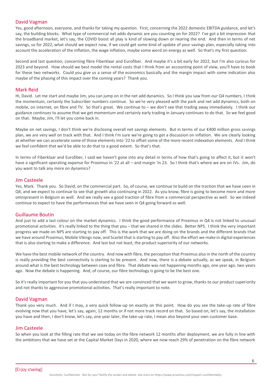## David Vagman

Yes, good afternoon, everyone, and thanks for taking my question. First, concerning the 2022 domestic EBITDA guidance, and let's say, the building blocks. What type of commercial net adds dynamic are you counting on for 2022? I've got a bit impression that the broadband market, let's say, the COVID boost all play is kind of slowing down or nearing the end. And then in terms of net savings, so for 2022, what should we expect now, if we could get some kind of update of your savings plan, especially taking into account the acceleration of the inflation, the wage inflation, maybe some word on energy as well. So that's my first question.

Second and last question, concerning fibre Fiberklaar and Eurofiber. And maybe it's a bit early for 2022, but I'm also curious for 2023 and beyond. How should we best model the rental costs that I think from an accounting point of view, you'll have to book for these two networks. Could you give us a sense of the economics basically and the margin impact with some indication also maybe of the phasing of this impact over the coming years? Thank you.

#### Mark Reid

Hi, David. Let me start and maybe Jim, you can jump on in the net add dynamics. So I think you saw from our Q4 numbers, I think the momentum, certainly the Subscriber numbers continue. So we're very pleased with the park and net add dynamics, both on mobile, on internet, on fibre and TV. So that's great. We continue to – we don't see that trading away immediately. I think our guidance continues to assume that we get momentum and certainly early trading in January continues to do that. So we feel good on that. Maybe, Jim, I'll let you come back in.

Maybe on net savings, I don't think we're disclosing overall net savings elements. But in terms of our €400 million gross savings plan, we are very well on track with that. And I think I'm sure we're going to get a discussion on inflation. We are clearly looking at whether we can accelerate some of those elements into '22 to offset some of the more recent indexation elements. And I think we feel confident that we'd be able to do that to a good extent. So that's that.

In terms of Fiberklaar and Eurofiber, I said we haven't gone into any detail in terms of how that's going to affect it, but it won't have a significant operating expense for Proximus in '22 at all – and margin 'in 23. So I think that's where we are on JVs. Jim, do you want to talk any more on dynamics?

#### Jim Casteele

Yes, Mark. Thank you. So David, on the commercial part. So, of course, we continue to build on the traction that we have seen in Q4, and we expect to continue to see that growth also continuing in 2022. As you know, fibre is going to become more and more omnipresent in Belgium as well. And we really see a good traction of fibre from a commercial perspective as well. So we indeed continue to expect to have the performances that we have seen in Q4 going forward as well.

#### Guillaume Boutin

And just to add a last colour on the market dynamics. I think the good performance of Proximus in Q4 is not linked to unusual promotional activities. It's really linked to the thing that you – that we shared in the slides. Better NPS. I think the very important progress we made on NPS are starting to pay off. This is the work that we are doing on the brands and the different brands that we have around Proximus, Mobile Vikings now, and Scarlet that is starting to pay off. Also the effort we make in digital experiences that is also starting to make a difference. And last but not least, the product superiority of our networks.

We have the best mobile network of the country. And now with fibre, the perception that Proximus also in the north of the country is really providing the best connectivity is starting to be present. And now, there is a debate actually, as we speak, in Belgium around what is the best technology between coax and fibre. That debate was not happening months ago, one year ago, two years ago. Now the debate is happening. And, of course, our fibre technology is going to be the best one.

So it's really important for you that you understand that we are convinced that we want to grow, thanks to our product superiority and not thanks to aggressive promotional activities. That's really important to note.

#### David Vagman

Thank you very much. And if I may, a very quick follow-up on exactly on this point. How do you see the take-up rate of fibre evolving now that you have, let's say, again, 12 months or if not more track record on that. So based on, let's say, the installation you have and then, I don't know, let's say, one year later, the take-up rate, I mean also beyond your own customer base.

#### Jim Casteele

So when you look at the filling rate that we see today on the fibre network 12 months after deployment, we are fully in line with the ambitions that we have set at the Capital Market Days in 2020, where we now reach 29% of penetration on the fibre network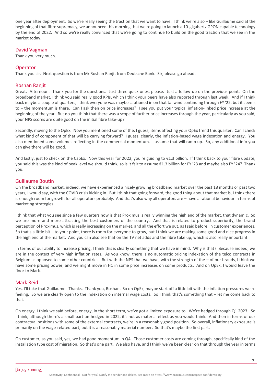one year after deployment. So we're really seeing the traction that we want to have. I think we're also – like Guillaume said at the beginning of that fibre supremacy, we announced this morning that we're going to launch a 10-gigahertz GPON capable technology by the end of 2022. And so we're really convinced that we're going to continue to build on the good traction that we see in the market today.

## David Vagman

Thank you very much.

## **Operator**

Thank you sir. Next question is from Mr Roshan Ranjit from Deutsche Bank. Sir, please go ahead.

#### Roshan Ranjit

Great. Afternoon. Thank you for the questions. Just three quick ones, please. Just a follow-up on the previous point. On the broadband market, I think you said really good KPIs, which I think your peers have also reported through last week. And if I think back maybe a couple of quarters, I think everyone was maybe cautioned in on that tailwind continuing through FY '22, but it seems to – the momentum is there. Can I ask then on price increases? I see you put your typical inflation-linked price increase at the beginning of the year. But do you think that there was a scope of further price increases through the year, particularly as you said, your NPS scores are quite good on the initial fibre take-up?

Secondly, moving to the OpEx. Now you mentioned some of the, I guess, items affecting your OpEx trend this quarter. Can I check what kind of component of that will be carrying forward? I guess, clearly, the inflation-based wage indexation and energy. You also mentioned some volumes reflecting in the commercial momentum. I assume that will ramp up. So, any additional info you can give there will be good.

And lastly, just to check on the CapEx. Now this year for 2022, you're guiding to €1.3 billion. If I think back to your fibre update, you said this was the kind of peak level we should think, so is it fair to assume €1.3 billion for FY '23 and maybe also FY '24? Thank you.

#### Guillaume Boutin

On the broadband market, indeed, we have experienced a nicely growing broadband market over the past 18 months or past two years, I would say, with the COVID crisis kicking in. But I think that going forward, the good thing about that market is, I think there is enough room for growth for all operators probably. And that's also why all operators are – have a rational behaviour in terms of marketing strategies.

I think that what you see since a few quarters now is that Proximus is really winning the high end of the market, that dynamic. So we are more and more attracting the best customers of the country. And that is related to product superiority, the brand perception of Proximus, which is really increasing on the market, and all the effort we put, as I said before, in customer experiences. So that's a little bit – to your point, there is room for everyone to grow, but I think we are making some good and nice progress in the high end of the market. And you can also see that on the TV net adds and the fibre take up, which is also really important.

In terms of our ability to increase pricing, I think this is clearly something that we have in mind. Why is that? Because indeed, we are in the context of very high inflation rates. As you know, there is no automatic pricing indexation of the telco contracts in Belgium as opposed to some other countries. But with the NPS that we have, with the strength of the – of our brands, I think we have some pricing power, and we might move in H1 in some price increases on some products. And on OpEx, I would leave the floor to Mark.

#### Mark Reid

Yes, I'll take that Guillaume. Thanks. Thank you, Roshan. So on OpEx, maybe start off a little bit with the inflation pressures we're feeling. So we are clearly open to the indexation on internal wage costs. So I think that's something that – let me come back to that.

On energy, I think we said before, energy, in the short term, we've got a limited exposure to. We're hedged through Q1 2023. So I think, although there's a small part un-hedged in 2022, it's not as material effect as you would think. And then in terms of our contractual positions with some of the external contracts, we're in a reasonably good position. So overall, inflationary exposure is primarily on the wage-related part, but it is a reasonably material number. So that's maybe the first part.

On customer, as you said, yes, we had good momentum in Q4. Those customer costs are coming through, specifically kind of the installation type cost of migration. So that's one part. We also have, and I think we've been clear on that through the year in terms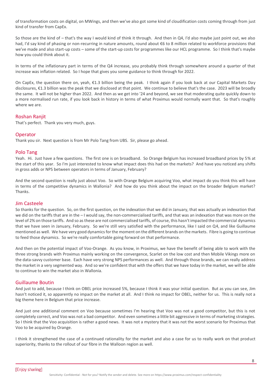of transformation costs on digital, on MWings, and then we've also got some kind of cloudification costs coming through from just kind of transfer from CapEx.

So those are the kind of – that's the way I would kind of think it through. And then in Q4, I'd also maybe just point out, we also had, I'd say kind of phasing or non-recurring in nature amounts, round about €6 to 8 million related to workforce provisions that we've made and also start-up costs – some of the start-up costs for programmes like our HCL programme. So I think that's maybe how you could think about it.

In terms of the inflationary part in terms of the Q4 increase, you probably think through somewhere around a quarter of that increase was inflation related. So I hope that gives you some guidance to think through for 2022.

On CapEx, the question there on, yeah, €1.3 billion being the peak. I think again if you look back at our Capital Markets Day disclosures, €1.3 billion was the peak that we disclosed at that point. We continue to believe that's the case. 2023 will be broadly the same. It will not be higher than 2022. And then as we get into '24 and beyond, we see that moderating quite quickly down to a more normalised run rate, if you look back in history in terms of what Proximus would normally want that. So that's roughly where we are.

## Roshan Ranjit

That's perfect. Thank you very much, guys.

## **Operator**

Thank you sir. Next question is from Mr Polo Tang from UBS. Sir, please go ahead.

#### Polo Tang

Yeah. Hi. Just have a few questions. The first one is on broadband. So Orange Belgium has increased broadband prices by 5% at the start of this year. So I'm just interested to know what impact does this had on the markets? And have you noticed any shifts in gross adds or NPS between operators in terms of January, February?

And the second question is really just about Voo. So with Orange Belgium acquiring Voo, what impact do you think this will have in terms of the competitive dynamics in Wallonia? And how do you think about the impact on the broader Belgium market? Thanks.

#### Jim Casteele

So thanks for the question. So, on the first question, on the indexation that we did in January, that was actually an indexation that we did on the tariffs that are in the – I would say, the non-commercialised tariffs, and that was an indexation that was more on the level of 2% on those tariffs. And so as these are not commercialised tariffs, of course, this hasn't impacted the commercial dynamics that we have seen in January, February. So we're still very satisfied with the performance, like I said on Q4, and like Guillaume mentioned as well. We have very good dynamics for the moment on the different brands on the markets. Fibre is going to continue to feed those dynamics. So we're really comfortable going forward on that performance.

And then on the potential impact of Voo-Orange. As you know, in Proximus, we have the benefit of being able to work with the three strong brands with Proximus mainly working on the convergence, Scarlet on the low cost and then Mobile Vikings more on the data-savvy customer base. Each have very strong NPS performances as well. And through those brands, we can really address the market in a very segmented way. And so we're confident that with the offers that we have today in the market, we will be able to continue to win the market also in Wallonia.

## Guillaume Boutin

And just to add, because I think on OBEL price increased 5%, because I think it was your initial question. But as you can see, Jim hasn't noticed it, so apparently no impact on the market at all. And I think no impact for OBEL, neither for us. This is really not a big theme here in Belgium that price increase.

And just one additional comment on Voo because sometimes I'm hearing that Voo was not a good competitor, but this is not completely correct, and Voo was not a bad competitor. And even sometimes a little bit aggressive in terms of marketing strategies. So I think that the Voo acquisition is rather a good news. It was not a mystery that it was not the worst scenario for Proximus that Voo to be acquired by Orange.

I think it strengthened the case of a continued rationality for the market and also a case for us to really work on that product superiority, thanks to the rollout of our fibre in the Walloon region as well.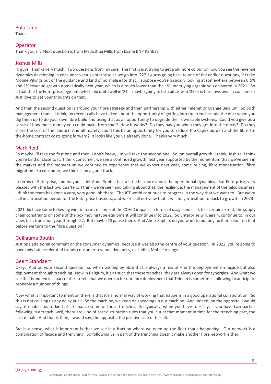## Polo Tang

Thanks.

## **Operator**

Thank you sir. Next question is from Mr Joshua Mills from Exane BNP Paribas.

#### Joshua Mills

Hi guys. Thanks very much. Two questions from my side. The first is just trying to get a bit more colour on how you see the revenue dynamics developing in consumer versus enterprise as we go into '22? I guess going back to one of the earlier questions, if I take Mobile Vikings out of the guidance and kind of normalise for that, I suppose you're basically looking at somewhere between 0.5% and 1% revenue growth domestically next year, which is a touch lower than the 1% underlying organic you delivered in 2021. So is that that the Enterprise segment, which did quite well in '21 is maybe going to be a bit slow in '22 or is the slowdown in consumer? Just love to get your thoughts on that.

And then the second question is around your fibre strategy and then partnership with either Telenet or Orange Belgium. So both management teams, I think, on recent calls have talked about the opportunity of getting into the trenches and the duct when you dig them up to do your own fibre build and using that as an opportunity to upgrade their own cable systems. Could you give us a sense of how much money you could make from that? How it works? Do they pay you when they get into the ducts? Do they share the cost of the labour? And ultimately, could this be an opportunity for you to reduce the CapEx burden and the fibre-tothe-home contract costs going forward? It looks like you've already done. Thanks very much.

#### Mark Reid

So maybe I'll take the first one and then, I don't know, Jim will take the second one. So, on overall growth, I think, Joshua, I think you're kind of close to it. I think consumer, we see a continued growth next year supported by the momentum that we've seen in the market and the momentum we continue to experience that we expect next year, some pricing, fibre monetisation, fibre migration. So consumer, we think is on a good track.

In terms of Enterprise, and maybe I'll let Anne-Sophie talk a little bit more about the operational dynamics. But Enterprise, very pleased with the last two quarters. I think we've seen and talking about that, the resilience, the management of the telco business. I think the team has done a very, very good job there. The ICT world continues to progress in the way that we want to. But we're still in a transition period for the Enterprise business, and we're still not view that it will fully transition to back to growth in 2023.

2021 did have some following wins in terms of some of the COVID impacts in terms of usage and also, to a certain extent, the supply chain constraints on some of the box moving type equipment will continue into 2022. So Enterprise will, again, continue to, in our view, be a transition year through '22. But maybe I'll pause there. And Anne-Sophie, do you want to put any further colour on that before we turn to the fibre question?

## Guillaume Boutin

Just one additional comment on the consumer dynamics, because it was also the centre of your question. In 2022, you're going to have only but accelerated trends consumer revenue dynamics, excluding Mobile Vikings.

#### Geert Standaert

Okay. And on your second question, so when we deploy fibre that is always a mix of  $-$  in the deployment on façade but also deployment through trenching. Now in Belgium, it's as such that these trenches, they are always open for synergies. And what we see that is indeed in a part of the streets that we open up for our fibre deployment that Telenet is sometimes following to anticipate probably a number of things.

Now what is important to mention there is that it's a normal way of working that happens in a good operational collaboration. So this is not causing us any delay at all. So the machine, we keep on speeding up our machine. And indeed, on the opposite, I would say, it enables us to kind of co-finance some of those trenches. So typically, when you have to – say, if you have two parties following in a trench, well, there are kind of cost distribution rules that you cut at that moment in time for the trenching part, the cost in half. And that is then, I would say, the opposite, the positive side of this all.

But in a sense, what is important is that we see in a fraction where we open up the fleet that's happening. Our network is a combination of façade and trenching. So following us in part of the trenching doesn't make another fibre network either.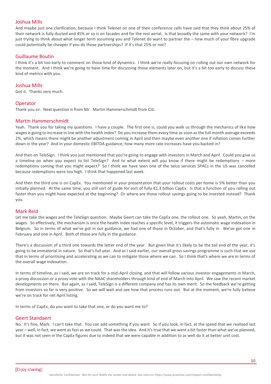## Joshua Mills

And maybe just one clarification, because I think Telenet on one of their conference calls have said that they think about 25% of their network is fully ducted and 45% or so is on facades and for the rest aerial. Is that broadly the same with your network? I'm just trying to think about what longer term assuming you and Telenet do want to partner the – how much of your fibre upgrade could potentially be cheaper if you do those partnerships? If it's that 25% or not?

#### Guillaume Boutin

I think it's a bit too early to comment on those kind of dynamics. I think we're really focusing on rolling out our own network for the moment. And I think we're going to have time for discussing those elements later on, but it's a bit too early to discuss these kind of metrics with you.

#### Joshua Mills

Got it. Thanks very much.

#### **Operator**

Thank you sir. Next question is from Mr. Martin Hammerschmidt from Citi.

#### Martin Hammerschmidt

Yeah. Thank you for taking my questions. I have a couple. The first one is, could you walk us through the mechanics of like how wages is going to increase in line with the health index? Do you increase them every time as soon as the full month average exceeds 2%, which means there might be another adjustment coming in April and then maybe even another one if inflation comes further down in the year? And in your domestic EBITDA guidance, how many more rate increases have you backed in?

And then on TeleSign. I think you just mentioned that you're going to engage with investors in March and April. Could you give us a timeline on when you expect to list TeleSign? And to what extent will you know if there might be redemptions – more redemptions coming that you might expect? So I think we have seen one of the telco services SPACs in the US was cancelled because redemptions were too high. I think that happened last week.

And then the third one is on CapEx. You mentioned in your presentation that your rollout costs per home is 5% better than you initially planned. At the same time, you still sort of guide for sort of fully €1.3 billion CapEx. Is that a function of you rolling out faster than you might have expected at the beginning? Or where are those rollout savings going to be invested instead? Thank you.

#### Mark Reid

Let me take the wages and the TeleSign question. Maybe Geert can take the CapEx one, the rollout one. So yeah, Martin, on the wages. So effectively, the mechanism is once the health index reaches a specific level, it triggers the automatic wage indexation in Belgium. So in terms of what we've got in our guidance, we had one of those in October, and that's fully in. We've got one in February and one in April. Both of those are fully in the guidance.

There's a discussion of a third one towards the latter end of the year. But given that it's likely to be the tail end of the year, it's going to be immaterial in nature. So that's full year. And as I said earlier, our overall gross savings programme is such that we use that in terms of prioritising and accelerating as we can to mitigate those where we can. So I think that's where we are in terms of the overall wage indexation.

In terms of timeline, as I said, we are on track for a mid-April closing, and that will follow various investor engagements in March, a proxy discussion or a proxy vote with the NAAC shareholders through kind of end of March into April. We saw the recent market developments on there. But again, as I said, TeleSign is a different company and has its own merit. So the feedback we're getting from investors so far is very positive. So we will wait and see how that process runs out. But at the moment, we're fully believe we're on track for net April listing.

In terms of CapEx, do you want to take that one, or do you want me to?

## Geert Standaert

No. It's fine, Mark. I can't take that. You can add something if you want. So if you look, in fact, at the speed that we realised last year – well, in fact, we went as fast as we could. That was the idea. And it's true that we went a bit faster than what we've planned, but it was not seen in the CapEx figures due to indeed that we were capable in addition to as well do it at better unit cost.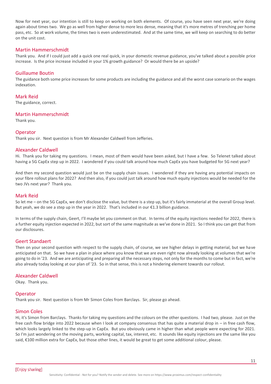Now for next year, our intention is still to keep on working on both elements. Of course, you have seen next year, we're doing again about times two. We go as well from higher dense to more less dense, meaning that it's more metres of trenching per home pass, etc. So at work volume, the times two is even underestimated. And at the same time, we will keep on searching to do better on the unit cost.

#### Martin Hammerschmidt

Thank you. And if I could just add a quick one real quick, in your domestic revenue guidance, you've talked about a possible price increase. Is the price increase included in your 1% growth guidance? Or would there be an upside?

## Guillaume Boutin

The guidance both some price increases for some products are including the guidance and all the worst case scenario on the wages indexation.

Mark Reid The guidance, correct.

## Martin Hammerschmidt

Thank you.

#### **Operator**

Thank you sir. Next question is from Mr Alexander Caldwell from Jefferies.

#### Alexander Caldwell

Hi. Thank you for taking my questions. I mean, most of them would have been asked, but I have a few. So Telenet talked about having a 5G CapEx step up in 2022. I wondered if you could talk around how much CapEx you have budgeted for 5G next year?

And then my second question would just be on the supply chain issues. I wondered if they are having any potential impacts on your fibre rollout plans for 2022? And then also, if you could just talk around how much equity injections would be needed for the two JVs next year? Thank you.

#### Mark Reid

So let me – on the 5G CapEx, we don't disclose the value, but there is a step up, but it's fairly immaterial at the overall Group level. But yeah, we do see a step up in the year in 2022. That's included in our €1.3 billion guidance.

In terms of the supply chain, Geert, I'll maybe let you comment on that. In terms of the equity injections needed for 2022, there is a further equity injection expected in 2022, but sort of the same magnitude as we've done in 2021. So I think you can get that from our disclosures.

## Geert Standaert

Then on your second question with respect to the supply chain, of course, we see higher delays in getting material, but we have anticipated on that. So we have a plan in place where you know that we are even right now already looking at volumes that we're going to do in '23. And we are anticipating and preparing all the necessary steps, not only for the months to come but in fact, we're also already today looking at our plan of '23. So in that sense, this is not a hindering element towards our rollout.

## Alexander Caldwell

Okay. Thank you.

#### **Operator**

Thank you sir. Next question is from Mr Simon Coles from Barclays. Sir, please go ahead.

#### Simon Coles

Hi, it's Simon from Barclays. Thanks for taking my questions and the colours on the other questions. I had two, please. Just on the free cash flow bridge into 2022 because when I look at company consensus that has quite a material drop in – in free cash flow, which looks largely linked to the step-up in CapEx. But you obviously came in higher than what people were expecting for 2021. So I'm just wondering on the moving parts, working capital, tax, interest, etc. It sounds like equity injections are the same like you said, €100 million extra for CapEx, but those other lines, it would be great to get some additional colour, please.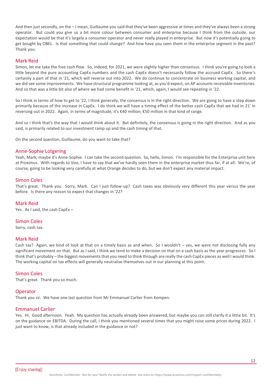And then just secondly, on the – I mean, Guillaume you said that they've been aggressive at times and they've always been a strong operator. But could you give us a bit more colour between consumer and enterprise because I think from the outside, our expectation would be that it's largely a consumer operator and never really played in enterprise. But now it's potentially going to get bought by OBEL. Is that something that could change? And how have you seen them in the enterprise segment in the past? Thank you.

#### Mark Reid

Simon, let me take the free cash flow. So, indeed, for 2021, we were slightly higher than consensus. I think you're going to look a little beyond the pure accounting CapEx numbers and the cash CapEx doesn't necessarily follow the accrued CapEx. So there's certainly a part of that in '21, which will reverse out into 2022. We do continue to concentrate on business working capital, and we did see some improvements. We have structural programme looking at, as you'd expect, on AP accounts receivable inventories. And so that was a little bit also of where we had some benefit in '21, which, again, I would see repeating in '22.

So I think in terms of how to get to '22, I think generally, the consensus is in the right direction. We are going to have a step down primarily because of the increase in CapEx. I do think we will have a timing effect of the better cash CapEx that we had in 21' in reversing out in 2022. Again, in terms of magnitude, it's €40 million, €50 million in that kind of range.

And so I think that's the way that I would think about it. But definitely, the consensus is going in the right direction. And as you said, is primarily related to our investment ramp up and the cash timing of that.

On the second question, Guillaume, do you want to take that?

#### Anne-Sophie Lotgering

Yeah, Mark, maybe it's Anne-Sophie. I can take the second question. So, hello, Simon. I'm responsible for the Enterprise unit here at Proximus. With regards to Voo, I have to say that we've hardly seen them in the enterprise market thus far, if at all. We're, of course, going to be looking very carefully at what Orange decides to do, but we don't expect any material impact.

#### Simon Coles

That's great. Thank you. Sorry, Mark. Can I just follow-up? Cash taxes was obviously very different this year versus the year before. Is there any reason to expect that changes in '22?

## Mark Reid

Yes. As I said, the cash CapEx –

Simon Coles

Sorry, cash tax.

#### Mark Reid

Cash tax? Again, we kind of look at that on a timely basis as and when. So I wouldn't – yes, we were not disclosing fully any significant movement on that. But as I said, I think we tend to make a decision on that on a cash basis as the year progresses. So I think that's probably – the biggest movements that you need to think through are really the cash CapEx pieces as well I would think. The working capital on tax effects will generally neutralise themselves out in our planning at this point.

## Simon Coles

That's great. Thank you so much.

## **Operator**

Thank you sir. We have one last question from Mr Emmanuel Carlier from Kempen.

## Emmanuel Carlier

Yes. Hi. Good afternoon. Yeah. My question has actually already been answered, but maybe you can still clarify it a little bit. It's on the guidance on EBITDA. During the call, I think you mentioned several times that you might raise some prices during 2022. I just want to know, is that already included in the guidance or not?